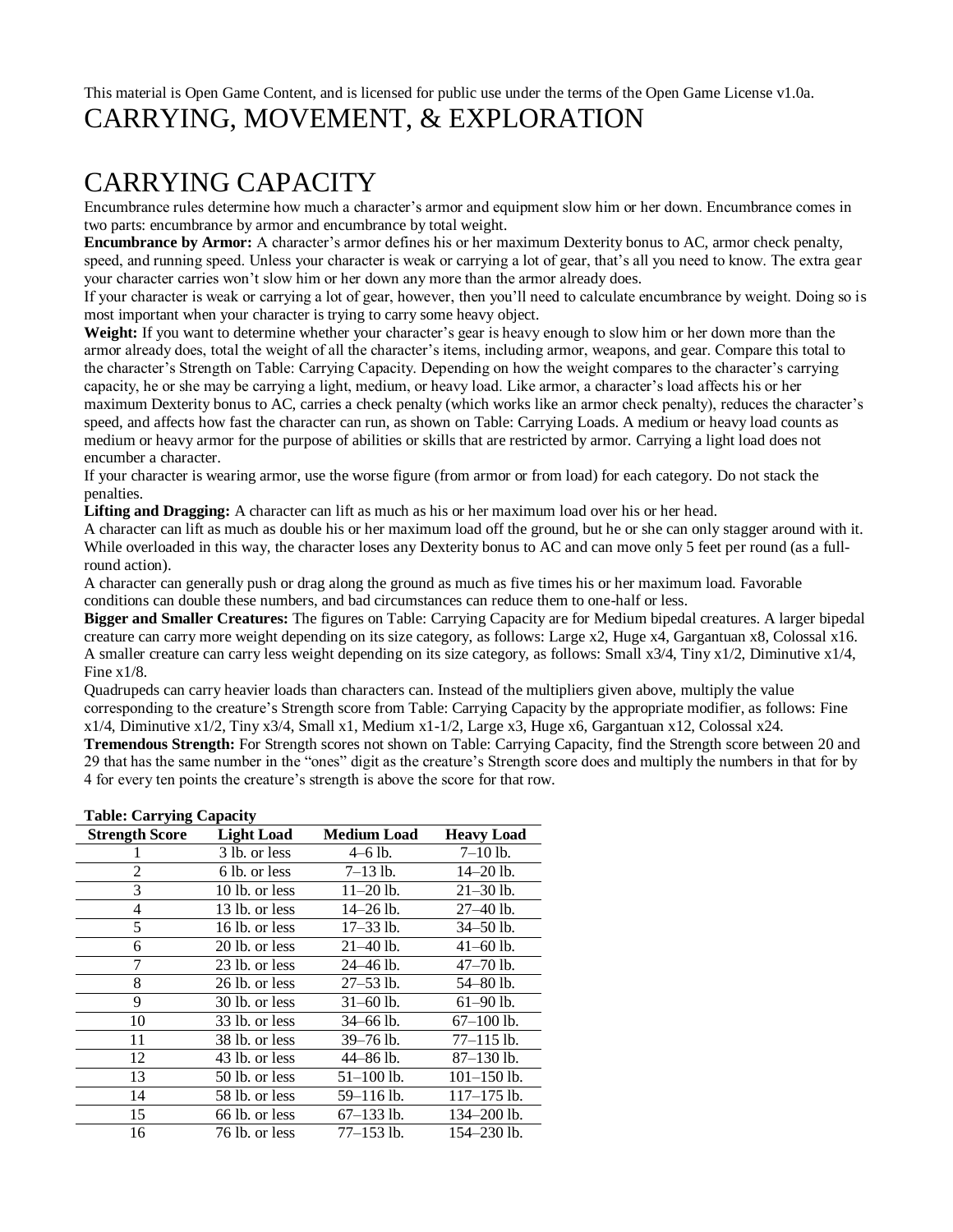# This material is Open Game Content, and is licensed for public use under the terms of the Open Game License v1.0a. CARRYING, MOVEMENT, & EXPLORATION

# CARRYING CAPACITY

Encumbrance rules determine how much a character's armor and equipment slow him or her down. Encumbrance comes in two parts: encumbrance by armor and encumbrance by total weight.

**Encumbrance by Armor:** A character's armor defines his or her maximum Dexterity bonus to AC, armor check penalty, speed, and running speed. Unless your character is weak or carrying a lot of gear, that's all you need to know. The extra gear your character carries won't slow him or her down any more than the armor already does.

If your character is weak or carrying a lot of gear, however, then you'll need to calculate encumbrance by weight. Doing so is most important when your character is trying to carry some heavy object.

**Weight:** If you want to determine whether your character's gear is heavy enough to slow him or her down more than the armor already does, total the weight of all the character's items, including armor, weapons, and gear. Compare this total to the character's Strength on Table: Carrying Capacity. Depending on how the weight compares to the character's carrying capacity, he or she may be carrying a light, medium, or heavy load. Like armor, a character's load affects his or her maximum Dexterity bonus to AC, carries a check penalty (which works like an armor check penalty), reduces the character's speed, and affects how fast the character can run, as shown on Table: Carrying Loads. A medium or heavy load counts as medium or heavy armor for the purpose of abilities or skills that are restricted by armor. Carrying a light load does not encumber a character.

If your character is wearing armor, use the worse figure (from armor or from load) for each category. Do not stack the penalties.

**Lifting and Dragging:** A character can lift as much as his or her maximum load over his or her head.

A character can lift as much as double his or her maximum load off the ground, but he or she can only stagger around with it. While overloaded in this way, the character loses any Dexterity bonus to AC and can move only 5 feet per round (as a fullround action).

A character can generally push or drag along the ground as much as five times his or her maximum load. Favorable conditions can double these numbers, and bad circumstances can reduce them to one-half or less.

**Bigger and Smaller Creatures:** The figures on Table: Carrying Capacity are for Medium bipedal creatures. A larger bipedal creature can carry more weight depending on its size category, as follows: Large x2, Huge x4, Gargantuan x8, Colossal x16. A smaller creature can carry less weight depending on its size category, as follows: Small x3/4, Tiny x1/2, Diminutive x1/4, Fine x1/8.

Quadrupeds can carry heavier loads than characters can. Instead of the multipliers given above, multiply the value corresponding to the creature's Strength score from Table: Carrying Capacity by the appropriate modifier, as follows: Fine  $x1/4$ , Diminutive  $x1/2$ , Tiny  $x3/4$ , Small x1, Medium  $x1-1/2$ , Large x3, Huge x6, Gargantuan x12, Colossal x24.

**Tremendous Strength:** For Strength scores not shown on Table: Carrying Capacity, find the Strength score between 20 and 29 that has the same number in the "ones" digit as the creature's Strength score does and multiply the numbers in that for by 4 for every ten points the creature's strength is above the score for that row.

#### **Table: Carrying Capacity**

| <b>Strength Score</b> | <b>Light Load</b> | <b>Medium Load</b> | <b>Heavy Load</b> |
|-----------------------|-------------------|--------------------|-------------------|
|                       | 3 lb. or less     | $4-6$ lb.          | $7-10$ lb.        |
| $\overline{2}$        | 6 lb. or less     | $7-13$ lb.         | $14 - 20$ lb.     |
| 3                     | 10 lb. or less    | $11 - 20$ lb.      | $21 - 30$ lb.     |
| 4                     | 13 lb. or less    | $14 - 26$ lb.      | $27 - 40$ lb.     |
| 5                     | 16 lb. or less    | $17 - 33$ lb.      | $34 - 50$ lb.     |
| 6                     | 20 lb. or less    | $21 - 40$ lb.      | $41 - 60$ lb.     |
|                       | 23 lb. or less    | $24 - 46$ lb.      | $47 - 70$ lb.     |
| 8                     | 26 lb. or less    | $27 - 53$ lb.      | $54 - 80$ lb.     |
| 9                     | 30 lb. or less    | $31 - 60$ lb.      | $61 - 90$ lb.     |
| 10                    | 33 lb. or less    | $34 - 66$ lb.      | $67-100$ lb.      |
| 11                    | 38 lb. or less    | $39 - 76$ lb.      | $77 - 115$ lb.    |
| 12                    | 43 lb. or less    | 44–86 lb.          | $87 - 130$ lb.    |
| 13                    | 50 lb. or less    | $51 - 100$ lb.     | $101 - 150$ lb.   |
| 14                    | 58 lb. or less    | 59–116 lb.         | $117 - 175$ lb.   |
| 15                    | 66 lb. or less    | $67 - 133$ lb.     | $134 - 200$ lb.   |
| 16                    | 76 lb. or less    | $77 - 153$ lb.     | 154–230 lb.       |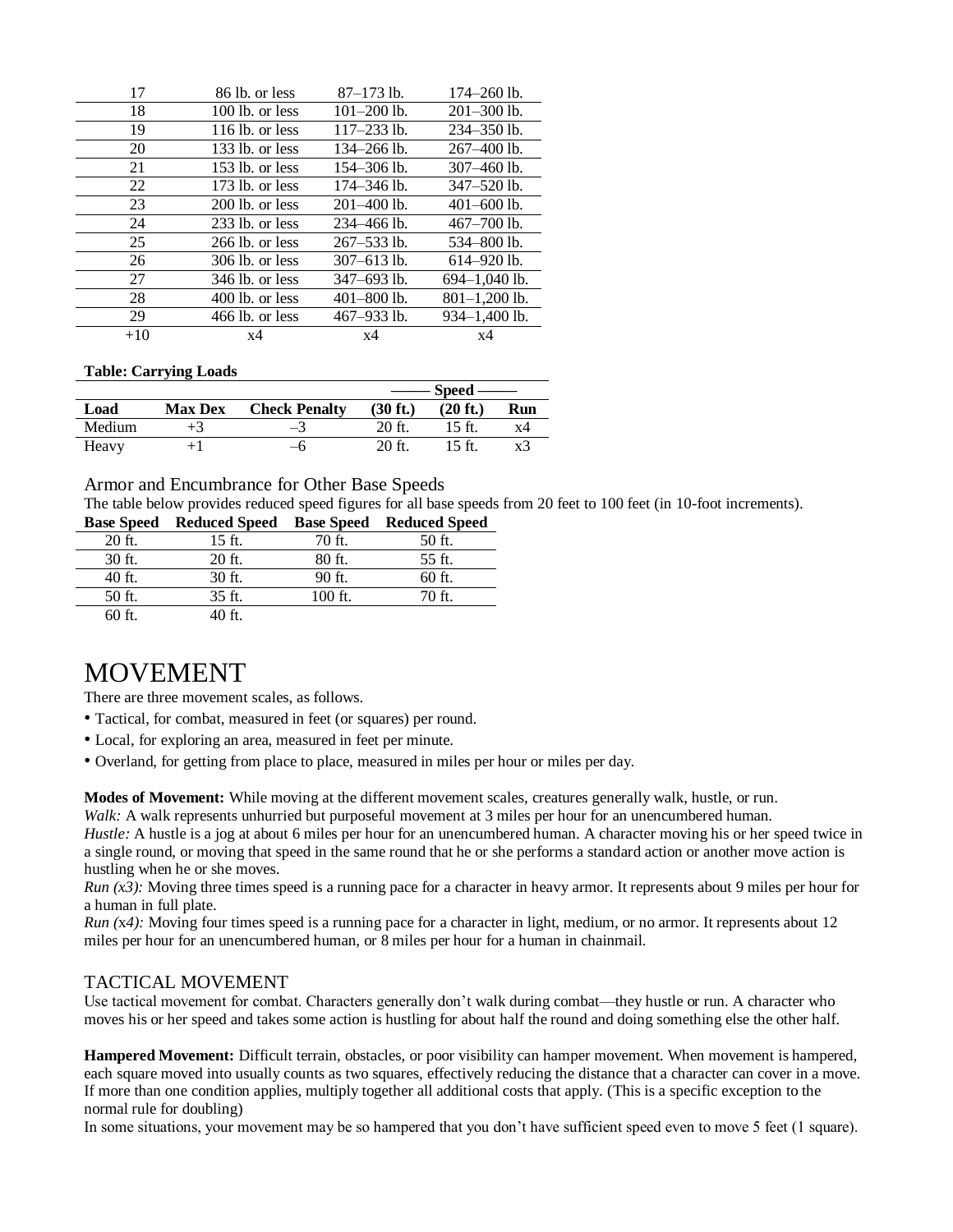| 17    | 86 lb. or less    | $87 - 173$ lb.  | $174 - 260$ lb.   |
|-------|-------------------|-----------------|-------------------|
| 18    | $100$ lb. or less | $101 - 200$ lb. | $201 - 300$ lb.   |
| 19    | 116 lb. or less   | $117 - 233$ lb. | $234 - 350$ lb.   |
| 20    | 133 lb. or less   | 134–266 lb.     | $267 - 400$ lb.   |
| 21    | $153$ lb. or less | 154–306 lb.     | 307-460 lb.       |
| 22    | $173$ lb. or less | $174 - 346$ lb. | $347 - 520$ lb.   |
| 23    | 200 lb. or less   | $201 - 400$ lb. | $401 - 600$ lb.   |
| 24    | 233 lb. or less   | $234 - 466$ lb. | $467 - 700$ lb.   |
| 25    | $266$ lb. or less | $267 - 533$ lb. | 534-800 lb.       |
| 26    | $306$ lb. or less | $307 - 613$ lb. | $614 - 920$ lb.   |
| 27    | $346$ lb. or less | $347 - 693$ lb. | $694 - 1,040$ lb. |
| 28    | $400$ lb. or less | $401 - 800$ lb. | $801 - 1,200$ lb. |
| 29    | $466$ lb. or less | 467–933 lb.     | 934-1,400 lb.     |
| $+10$ | x4                | x4              | x4                |

#### **Table: Carrying Loads**

|        |                |                      |          | Speed -            |     |
|--------|----------------|----------------------|----------|--------------------|-----|
| Load   | <b>Max Dex</b> | <b>Check Penalty</b> | (30 ft.) | $(20 \text{ ft.})$ | Run |
| Medium |                | -3                   | 20 ft.   | 15 ft.             | х4  |
| Heavy  |                |                      | 20 ft    | $15 \text{ ft.}$   | x3  |

#### Armor and Encumbrance for Other Base Speeds

The table below provides reduced speed figures for all base speeds from 20 feet to 100 feet (in 10-foot increments).

| <b>Base Speed</b> | <b>Reduced Speed</b> | <b>Base Speed</b> | <b>Reduced Speed</b> |
|-------------------|----------------------|-------------------|----------------------|
| $20$ ft.          | 15 ft.               | $70$ ft.          | $50$ ft.             |
| $30$ ft.          | $20$ ft.             | 80 ft.            | $55$ ft.             |
| $40$ ft.          | $30$ ft.             | 90 ft.            | 60 ft.               |
| $50$ ft.          | $35$ ft.             | $100$ ft.         | 70 ft.               |

60 ft. 40 ft.

# MOVEMENT

There are three movement scales, as follows.

- Tactical, for combat, measured in feet (or squares) per round.
- Local, for exploring an area, measured in feet per minute.
- Overland, for getting from place to place, measured in miles per hour or miles per day.

**Modes of Movement:** While moving at the different movement scales, creatures generally walk, hustle, or run.

*Walk:* A walk represents unhurried but purposeful movement at 3 miles per hour for an unencumbered human. *Hustle:* A hustle is a jog at about 6 miles per hour for an unencumbered human. A character moving his or her speed twice in a single round, or moving that speed in the same round that he or she performs a standard action or another move action is hustling when he or she moves.

*Run (x3):* Moving three times speed is a running pace for a character in heavy armor. It represents about 9 miles per hour for a human in full plate.

*Run* (x4): Moving four times speed is a running pace for a character in light, medium, or no armor. It represents about 12 miles per hour for an unencumbered human, or 8 miles per hour for a human in chainmail.

### TACTICAL MOVEMENT

Use tactical movement for combat. Characters generally don't walk during combat—they hustle or run. A character who moves his or her speed and takes some action is hustling for about half the round and doing something else the other half.

**Hampered Movement:** Difficult terrain, obstacles, or poor visibility can hamper movement. When movement is hampered, each square moved into usually counts as two squares, effectively reducing the distance that a character can cover in a move. If more than one condition applies, multiply together all additional costs that apply. (This is a specific exception to the normal rule for doubling)

In some situations, your movement may be so hampered that you don't have sufficient speed even to move 5 feet (1 square).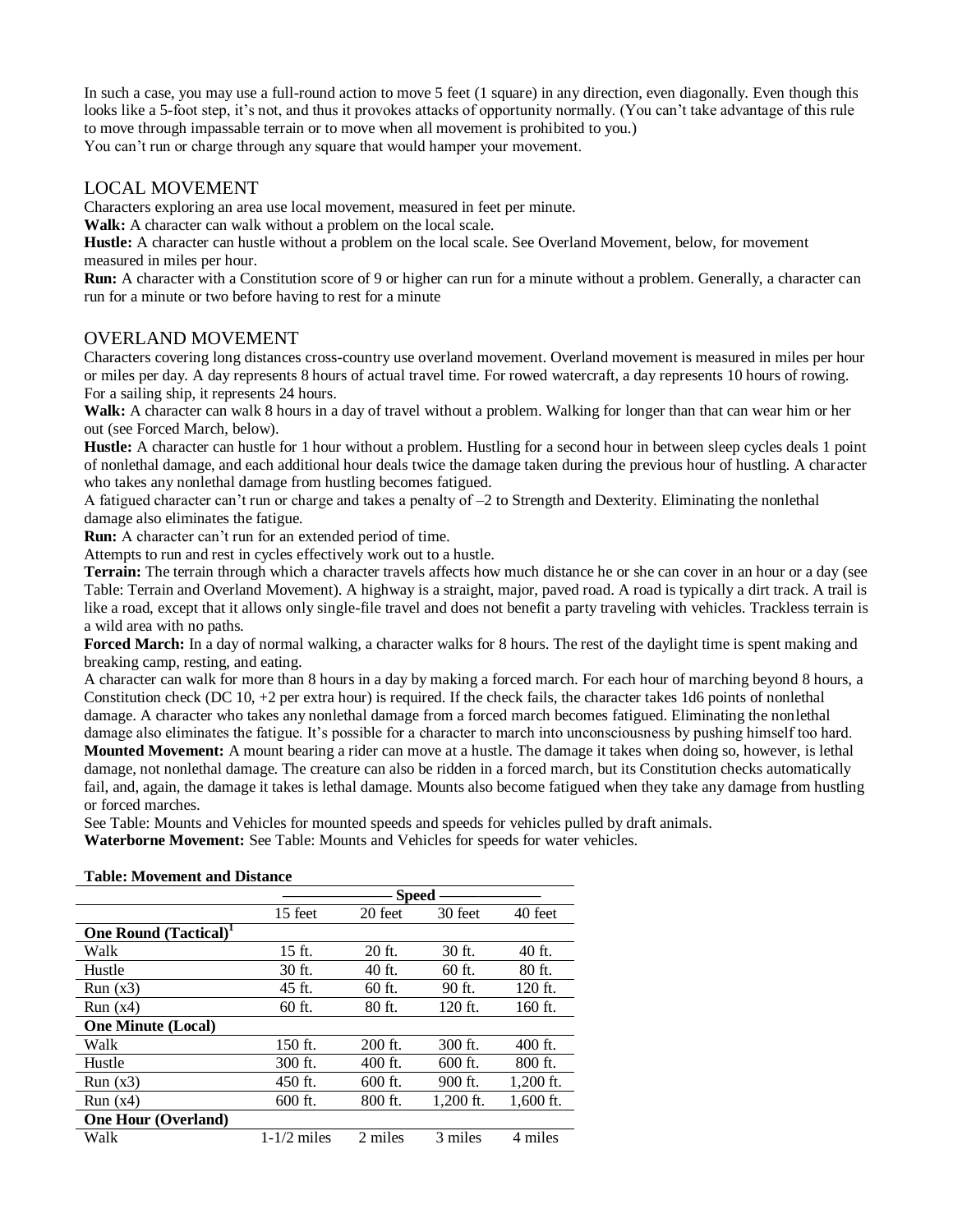In such a case, you may use a full-round action to move 5 feet (1 square) in any direction, even diagonally. Even though this looks like a 5-foot step, it's not, and thus it provokes attacks of opportunity normally. (You can't take advantage of this rule to move through impassable terrain or to move when all movement is prohibited to you.) You can't run or charge through any square that would hamper your movement.

## LOCAL MOVEMENT

Characters exploring an area use local movement, measured in feet per minute.

**Walk:** A character can walk without a problem on the local scale.

**Hustle:** A character can hustle without a problem on the local scale. See Overland Movement, below, for movement measured in miles per hour.

**Run:** A character with a Constitution score of 9 or higher can run for a minute without a problem. Generally, a character can run for a minute or two before having to rest for a minute

### OVERLAND MOVEMENT

Characters covering long distances cross-country use overland movement. Overland movement is measured in miles per hour or miles per day. A day represents 8 hours of actual travel time. For rowed watercraft, a day represents 10 hours of rowing. For a sailing ship, it represents 24 hours.

**Walk:** A character can walk 8 hours in a day of travel without a problem. Walking for longer than that can wear him or her out (see Forced March, below).

**Hustle:** A character can hustle for 1 hour without a problem. Hustling for a second hour in between sleep cycles deals 1 point of nonlethal damage, and each additional hour deals twice the damage taken during the previous hour of hustling. A character who takes any nonlethal damage from hustling becomes fatigued.

A fatigued character can't run or charge and takes a penalty of –2 to Strength and Dexterity. Eliminating the nonlethal damage also eliminates the fatigue.

**Run:** A character can't run for an extended period of time.

Attempts to run and rest in cycles effectively work out to a hustle.

**Terrain:** The terrain through which a character travels affects how much distance he or she can cover in an hour or a day (see Table: Terrain and Overland Movement). A highway is a straight, major, paved road. A road is typically a dirt track. A trail is like a road, except that it allows only single-file travel and does not benefit a party traveling with vehicles. Trackless terrain is a wild area with no paths.

**Forced March:** In a day of normal walking, a character walks for 8 hours. The rest of the daylight time is spent making and breaking camp, resting, and eating.

A character can walk for more than 8 hours in a day by making a forced march. For each hour of marching beyond 8 hours, a Constitution check (DC 10,  $+2$  per extra hour) is required. If the check fails, the character takes 1d6 points of nonlethal damage. A character who takes any nonlethal damage from a forced march becomes fatigued. Eliminating the nonlethal

damage also eliminates the fatigue. It's possible for a character to march into unconsciousness by pushing himself too hard. **Mounted Movement:** A mount bearing a rider can move at a hustle. The damage it takes when doing so, however, is lethal damage, not nonlethal damage. The creature can also be ridden in a forced march, but its Constitution checks automatically fail, and, again, the damage it takes is lethal damage. Mounts also become fatigued when they take any damage from hustling or forced marches.

See Table: Mounts and Vehicles for mounted speeds and speeds for vehicles pulled by draft animals. **Waterborne Movement:** See Table: Mounts and Vehicles for speeds for water vehicles.

#### **Table: Movement and Distance**

|                            | <b>Speed</b>  |           |             |             |  |
|----------------------------|---------------|-----------|-------------|-------------|--|
|                            | 15 feet       | 20 feet   | 30 feet     | 40 feet     |  |
| One Round $(Tactical)^1$   |               |           |             |             |  |
| Walk                       | $15$ ft.      | $20$ ft.  | 30 ft.      | 40 ft.      |  |
| Hustle                     | 30 ft.        | $40$ ft.  | $60$ ft.    | $80$ ft.    |  |
| Run(x3)                    | 45 ft.        | 60 ft.    | $90$ ft.    | $120$ ft.   |  |
| Run(x4)                    | 60 ft.        | 80 ft.    | 120 ft.     | 160 ft.     |  |
| <b>One Minute (Local)</b>  |               |           |             |             |  |
| Walk                       | 150 ft.       | $200$ ft. | 300 ft.     | $400$ ft.   |  |
| Hustle                     | 300 ft.       | $400$ ft. | $600$ ft.   | $800$ ft.   |  |
| Run(x3)                    | 450 ft.       | $600$ ft. | $900$ ft.   | $1,200$ ft. |  |
| Run(x4)                    | $600$ ft.     | $800$ ft. | $1.200$ ft. | $1,600$ ft. |  |
| <b>One Hour (Overland)</b> |               |           |             |             |  |
| Walk                       | $1-1/2$ miles | 2 miles   | 3 miles     | 4 miles     |  |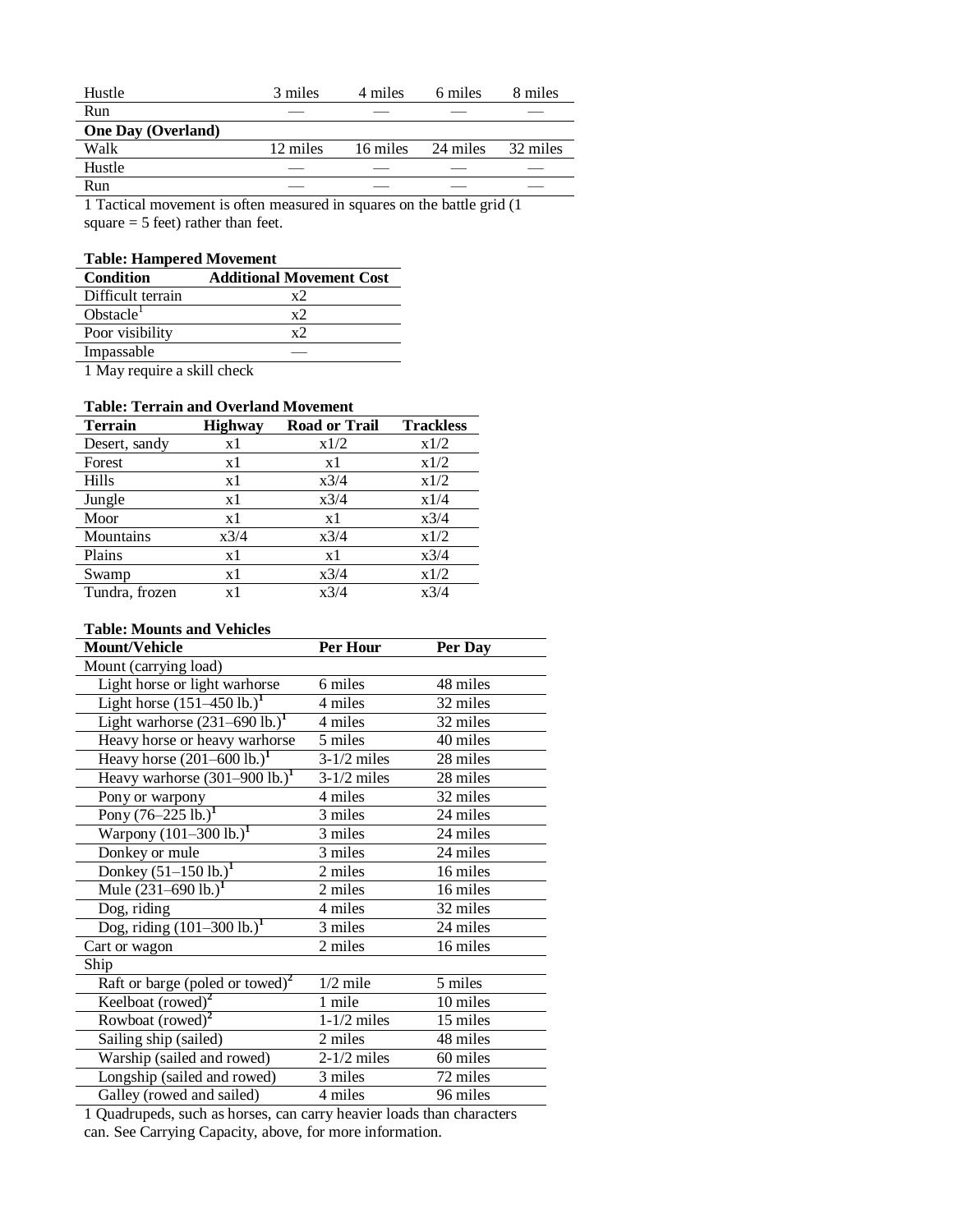| Hustle                    | 3 miles  | 4 miles  | 6 miles  | 8 miles  |
|---------------------------|----------|----------|----------|----------|
| Run                       |          |          |          |          |
| <b>One Day (Overland)</b> |          |          |          |          |
| Walk                      | 12 miles | 16 miles | 24 miles | 32 miles |
| Hustle                    |          |          |          |          |
| Run                       |          |          |          |          |

1 Tactical movement is often measured in squares on the battle grid (1 square  $= 5$  feet) rather than feet.

#### **Table: Hampered Movement**

| <b>Condition</b>                               | <b>Additional Movement Cost</b> |
|------------------------------------------------|---------------------------------|
| Difficult terrain                              | vЭ                              |
| Obstacle $1$                                   | $x^{\gamma}$                    |
| Poor visibility                                | $x^{\gamma}$                    |
| Impassable                                     |                                 |
| $\sim$ $\sim$ $\sim$ $\sim$ $\sim$ $\sim$<br>. | - --- -<br>__                   |

1 May require a skill check

#### **Table: Terrain and Overland Movement**

| <b>Terrain</b> | <b>Highway</b> | <b>Road or Trail</b> | <b>Trackless</b> |
|----------------|----------------|----------------------|------------------|
| Desert, sandy  | $\mathbf{x}$ 1 | x1/2                 | x1/2             |
| Forest         | x1             | x1                   | x1/2             |
| Hills          | x1             | x3/4                 | x1/2             |
| Jungle         | x1             | x3/4                 | x1/4             |
| Moor           | x1             | x1                   | x3/4             |
| Mountains      | x3/4           | $x^3/4$              | x1/2             |
| Plains         | x1             | x1                   | x3/4             |
| Swamp          | x1             | x3/4                 | x1/2             |
| Tundra, frozen | x1             | x3/4                 | x3/4             |

#### **Table: Mounts and Vehicles**

| гарге, гибаниз ана у спісісэ                |               |          |
|---------------------------------------------|---------------|----------|
| <b>Mount/Vehicle</b>                        | Per Hour      | Per Day  |
| Mount (carrying load)                       |               |          |
| Light horse or light warhorse               | 6 miles       | 48 miles |
| Light horse $(151-450 \text{ lb.})^1$       | 4 miles       | 32 miles |
| Light warhorse $(231-690 \text{ lb.})^T$    | 4 miles       | 32 miles |
| Heavy horse or heavy warhorse               | 5 miles       | 40 miles |
| Heavy horse $(201-600 \overline{1b.})^T$    | $3-1/2$ miles | 28 miles |
| Heavy warhorse $(301-900 \text{ lb.})^1$    | $3-1/2$ miles | 28 miles |
| Pony or warpony                             | 4 miles       | 32 miles |
| Pony $(76-225 \text{ lb.})^T$               | 3 miles       | 24 miles |
| Warpony $(101-300 \text{ lb.})^1$           | 3 miles       | 24 miles |
| Donkey or mule                              | 3 miles       | 24 miles |
| Donkey $(51 - 150 \text{ lb.})^T$           | 2 miles       | 16 miles |
| Mule (231-690 lb.)                          | 2 miles       | 16 miles |
| Dog, riding                                 | 4 miles       | 32 miles |
| Dog, riding $(101-300 \text{ lb.})^1$       | 3 miles       | 24 miles |
| Cart or wagon                               | 2 miles       | 16 miles |
| Ship                                        |               |          |
| Raft or barge (poled or towed) <sup>2</sup> | $1/2$ mile    | 5 miles  |
| Keelboat $(rowed)^2$                        | 1 mile        | 10 miles |
| Rowboat $(rowed)^2$                         | $1-1/2$ miles | 15 miles |
| Sailing ship (sailed)                       | 2 miles       | 48 miles |
| Warship (sailed and rowed)                  | $2-1/2$ miles | 60 miles |
| Longship (sailed and rowed)                 | 3 miles       | 72 miles |
| Galley (rowed and sailed)                   | 4 miles       | 96 miles |

1 Quadrupeds, such as horses, can carry heavier loads than characters can. See Carrying Capacity, above, for more information.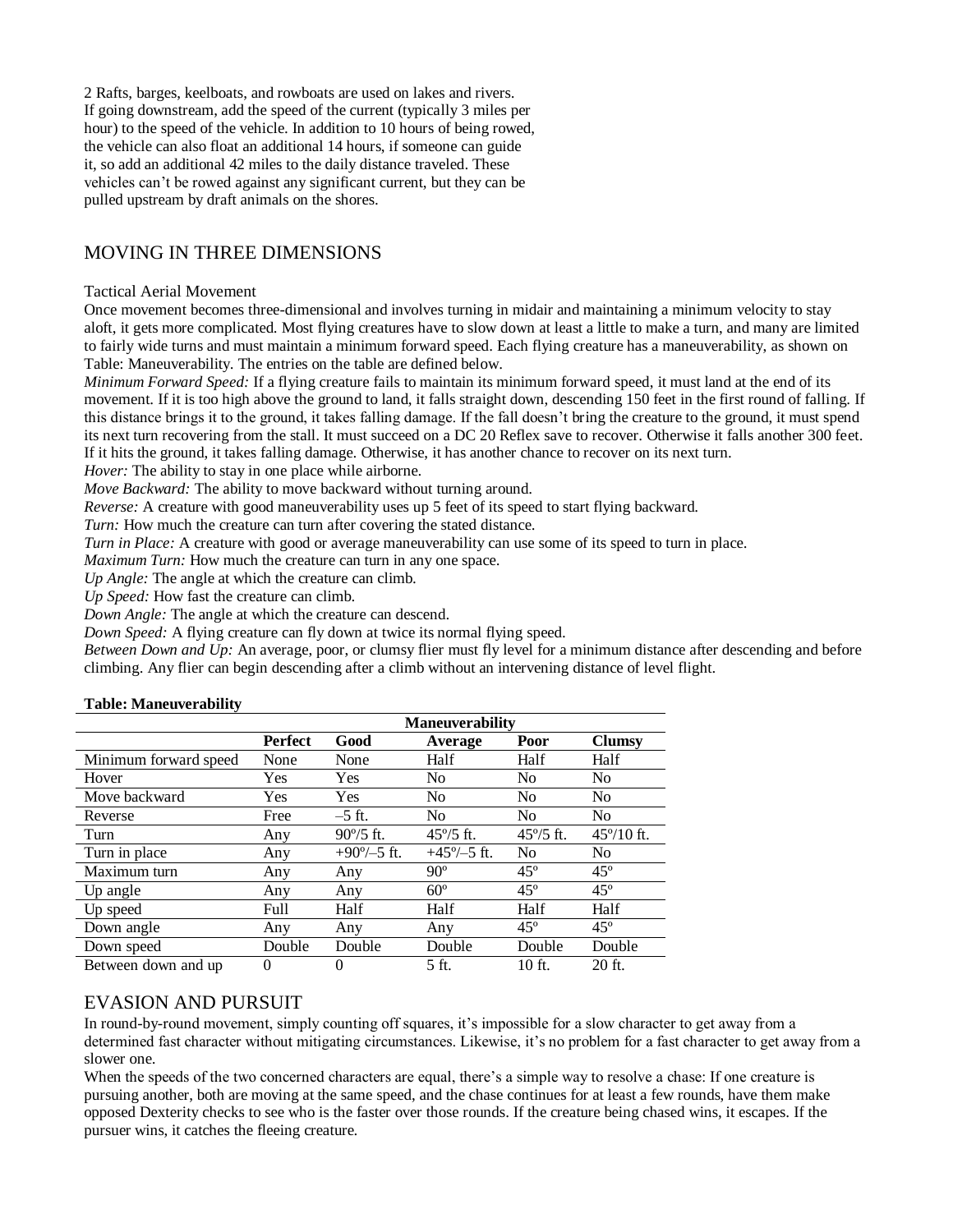2 Rafts, barges, keelboats, and rowboats are used on lakes and rivers. If going downstream, add the speed of the current (typically 3 miles per hour) to the speed of the vehicle. In addition to 10 hours of being rowed, the vehicle can also float an additional 14 hours, if someone can guide it, so add an additional 42 miles to the daily distance traveled. These vehicles can't be rowed against any significant current, but they can be pulled upstream by draft animals on the shores.

# MOVING IN THREE DIMENSIONS

#### Tactical Aerial Movement

Once movement becomes three-dimensional and involves turning in midair and maintaining a minimum velocity to stay aloft, it gets more complicated. Most flying creatures have to slow down at least a little to make a turn, and many are limited to fairly wide turns and must maintain a minimum forward speed. Each flying creature has a maneuverability, as shown on Table: Maneuverability. The entries on the table are defined below.

*Minimum Forward Speed:* If a flying creature fails to maintain its minimum forward speed, it must land at the end of its movement. If it is too high above the ground to land, it falls straight down, descending 150 feet in the first round of falling. If this distance brings it to the ground, it takes falling damage. If the fall doesn't bring the creature to the ground, it must spend its next turn recovering from the stall. It must succeed on a DC 20 Reflex save to recover. Otherwise it falls another 300 feet. If it hits the ground, it takes falling damage. Otherwise, it has another chance to recover on its next turn.

*Hover:* The ability to stay in one place while airborne.

*Move Backward:* The ability to move backward without turning around.

*Reverse:* A creature with good maneuverability uses up 5 feet of its speed to start flying backward.

*Turn:* How much the creature can turn after covering the stated distance.

*Turn in Place:* A creature with good or average maneuverability can use some of its speed to turn in place.

*Maximum Turn:* How much the creature can turn in any one space.

*Up Angle:* The angle at which the creature can climb.

*Up Speed:* How fast the creature can climb.

*Down Angle:* The angle at which the creature can descend.

*Down Speed:* A flying creature can fly down at twice its normal flying speed.

*Between Down and Up:* An average, poor, or clumsy flier must fly level for a minimum distance after descending and before climbing. Any flier can begin descending after a climb without an intervening distance of level flight.

|                       | <b>Maneuverability</b> |                      |                      |                  |                |
|-----------------------|------------------------|----------------------|----------------------|------------------|----------------|
|                       | <b>Perfect</b>         | Good                 | Average              | Poor             | <b>Clumsy</b>  |
| Minimum forward speed | None                   | None                 | Half                 | Half             | Half           |
| Hover                 | Yes                    | Yes                  | N <sub>0</sub>       | No               | N <sub>0</sub> |
| Move backward         | Yes                    | Yes                  | N <sub>0</sub>       | N <sub>0</sub>   | N <sub>0</sub> |
| Reverse               | Free                   | $-5$ ft.             | N <sub>0</sub>       | N <sub>0</sub>   | N <sub>0</sub> |
| Turn                  | Any                    | $90\%$ ft.           | $45\%$ ft.           | $45\%$ ft.       | $45\%$ /10 ft. |
| Turn in place         | Any                    | $+90^{\circ}/-5$ ft. | $+45^{\circ}/-5$ ft. | N <sub>0</sub>   | No             |
| Maximum turn          | Any                    | Any                  | $90^\circ$           | $45^\circ$       | $45^\circ$     |
| Up angle              | Any                    | Any                  | $60^\circ$           | $45^\circ$       | $45^\circ$     |
| Up speed              | Full                   | Half                 | Half                 | Half             | Half           |
| Down angle            | Any                    | Any                  | Any                  | $45^\circ$       | $45^\circ$     |
| Down speed            | Double                 | Double               | Double               | Double           | Double         |
| Between down and up   | 0                      | $\Omega$             | 5 ft.                | $10 \text{ ft.}$ | $20$ ft.       |

#### **Table: Maneuverability**

## EVASION AND PURSUIT

In round-by-round movement, simply counting off squares, it's impossible for a slow character to get away from a determined fast character without mitigating circumstances. Likewise, it's no problem for a fast character to get away from a slower one.

When the speeds of the two concerned characters are equal, there's a simple way to resolve a chase: If one creature is pursuing another, both are moving at the same speed, and the chase continues for at least a few rounds, have them make opposed Dexterity checks to see who is the faster over those rounds. If the creature being chased wins, it escapes. If the pursuer wins, it catches the fleeing creature.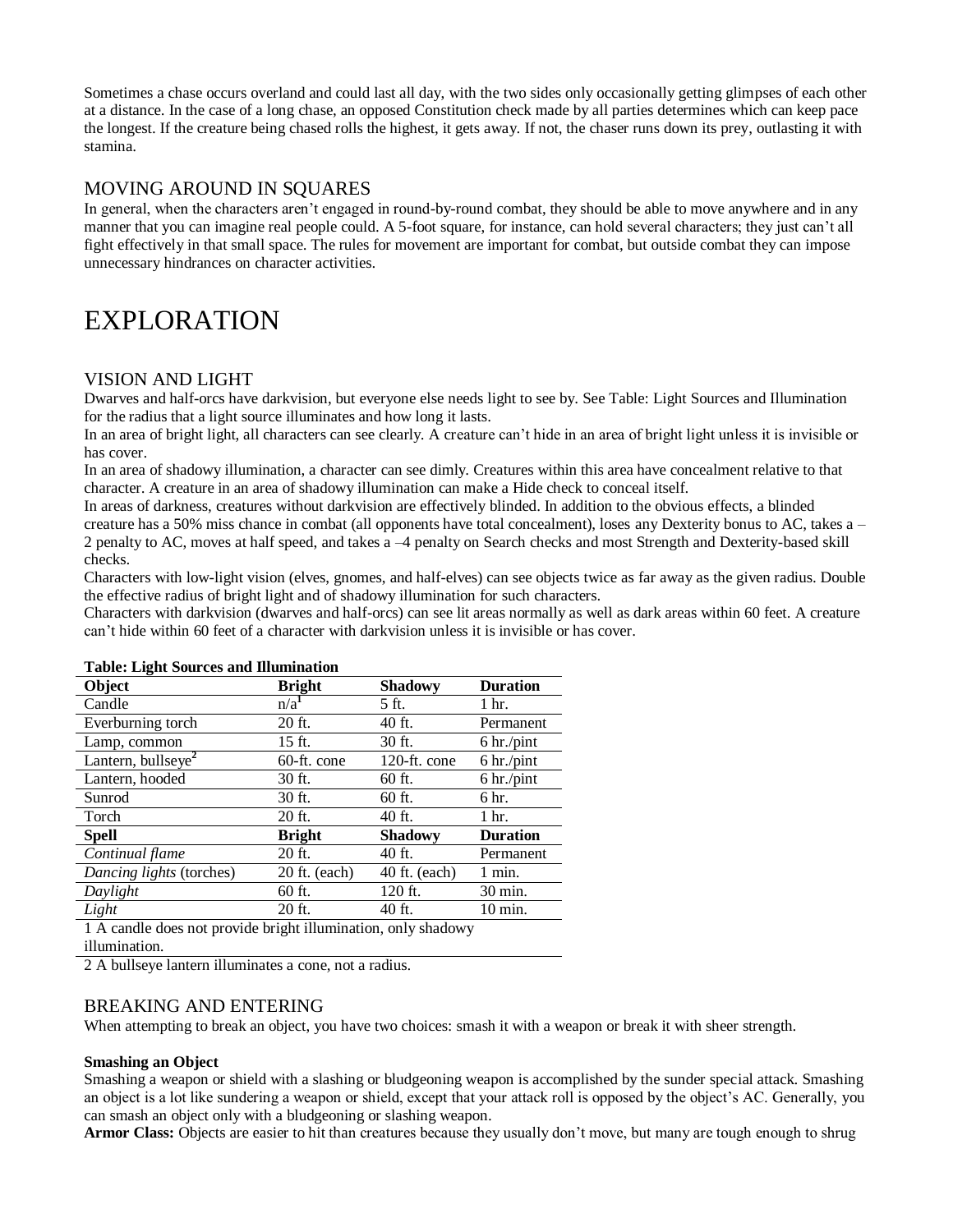Sometimes a chase occurs overland and could last all day, with the two sides only occasionally getting glimpses of each other at a distance. In the case of a long chase, an opposed Constitution check made by all parties determines which can keep pace the longest. If the creature being chased rolls the highest, it gets away. If not, the chaser runs down its prey, outlasting it with stamina.

## MOVING AROUND IN SQUARES

In general, when the characters aren't engaged in round-by-round combat, they should be able to move anywhere and in any manner that you can imagine real people could. A 5-foot square, for instance, can hold several characters; they just can't all fight effectively in that small space. The rules for movement are important for combat, but outside combat they can impose unnecessary hindrances on character activities.

# EXPLORATION

### VISION AND LIGHT

Dwarves and half-orcs have darkvision, but everyone else needs light to see by. See Table: Light Sources and Illumination for the radius that a light source illuminates and how long it lasts.

In an area of bright light, all characters can see clearly. A creature can't hide in an area of bright light unless it is invisible or has cover.

In an area of shadowy illumination, a character can see dimly. Creatures within this area have concealment relative to that character. A creature in an area of shadowy illumination can make a Hide check to conceal itself.

In areas of darkness, creatures without darkvision are effectively blinded. In addition to the obvious effects, a blinded creature has a 50% miss chance in combat (all opponents have total concealment), loses any Dexterity bonus to AC, takes a – 2 penalty to AC, moves at half speed, and takes a –4 penalty on Search checks and most Strength and Dexterity-based skill checks.

Characters with low-light vision (elves, gnomes, and half-elves) can see objects twice as far away as the given radius. Double the effective radius of bright light and of shadowy illumination for such characters.

Characters with darkvision (dwarves and half-orcs) can see lit areas normally as well as dark areas within 60 feet. A creature can't hide within 60 feet of a character with darkvision unless it is invisible or has cover.

| rabic: Elght boarces and manimation                           |                  |                 |                      |  |  |
|---------------------------------------------------------------|------------------|-----------------|----------------------|--|--|
| Object                                                        | <b>Bright</b>    | <b>Shadowy</b>  | <b>Duration</b>      |  |  |
| Candle                                                        | n/a <sup>L</sup> | 5 ft.           | 1 hr.                |  |  |
| Everburning torch                                             | 20 ft.           | 40 ft.          | Permanent            |  |  |
| Lamp, common                                                  | 15 ft.           | 30 ft.          | $6hr./$ pint         |  |  |
| Lantern, bullseye <sup>2</sup>                                | 60-ft. cone      | $120$ -ft. cone | $6 \text{ hr./pint}$ |  |  |
| Lantern, hooded                                               | 30 ft.           | 60 ft.          | $6 \text{ hr./pint}$ |  |  |
| Sunrod                                                        | 30 ft.           | 60 ft.          | 6 <sub>hr.</sub>     |  |  |
| Torch                                                         | 20 ft.           | 40 ft.          | 1 hr.                |  |  |
| <b>Spell</b>                                                  | <b>Bright</b>    | <b>Shadowy</b>  | <b>Duration</b>      |  |  |
| Continual flame                                               | 20 ft.           | $40$ ft.        | Permanent            |  |  |
| Dancing lights (torches)                                      | $20$ ft. (each)  | $40$ ft. (each) | 1 min.               |  |  |
| Daylight                                                      | 60 ft.           | 120 ft.         | 30 min.              |  |  |
| Light                                                         | 20 ft.           | 40 ft.          | $10 \text{ min.}$    |  |  |
| 1 A candle does not provide bright illumination, only shadowy |                  |                 |                      |  |  |

#### **Table: Light Sources and Illumination**

illumination.

2 A bullseye lantern illuminates a cone, not a radius.

### BREAKING AND ENTERING

When attempting to break an object, you have two choices: smash it with a weapon or break it with sheer strength.

#### **Smashing an Object**

Smashing a weapon or shield with a slashing or bludgeoning weapon is accomplished by the sunder special attack. Smashing an object is a lot like sundering a weapon or shield, except that your attack roll is opposed by the object's AC. Generally, you can smash an object only with a bludgeoning or slashing weapon.

**Armor Class:** Objects are easier to hit than creatures because they usually don't move, but many are tough enough to shrug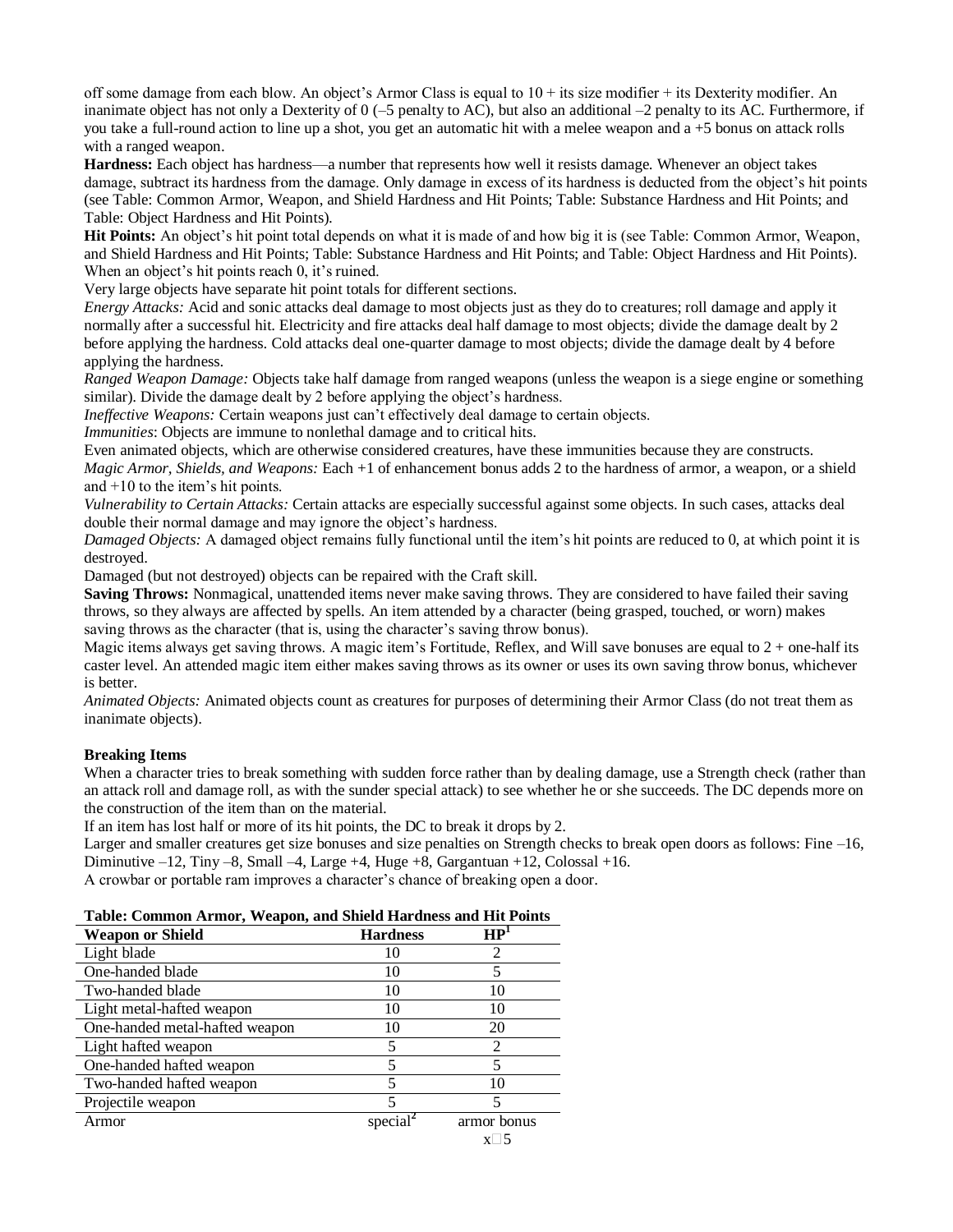off some damage from each blow. An object's Armor Class is equal to  $10 +$  its size modifier + its Dexterity modifier. An inanimate object has not only a Dexterity of  $0$  (-5 penalty to AC), but also an additional  $-2$  penalty to its AC. Furthermore, if you take a full-round action to line up a shot, you get an automatic hit with a melee weapon and a +5 bonus on attack rolls with a ranged weapon.

**Hardness:** Each object has hardness—a number that represents how well it resists damage. Whenever an object takes damage, subtract its hardness from the damage. Only damage in excess of its hardness is deducted from the object's hit points (see Table: Common Armor, Weapon, and Shield Hardness and Hit Points; Table: Substance Hardness and Hit Points; and Table: Object Hardness and Hit Points).

**Hit Points:** An object's hit point total depends on what it is made of and how big it is (see Table: Common Armor, Weapon, and Shield Hardness and Hit Points; Table: Substance Hardness and Hit Points; and Table: Object Hardness and Hit Points). When an object's hit points reach 0, it's ruined.

Very large objects have separate hit point totals for different sections.

*Energy Attacks:* Acid and sonic attacks deal damage to most objects just as they do to creatures; roll damage and apply it normally after a successful hit. Electricity and fire attacks deal half damage to most objects; divide the damage dealt by 2 before applying the hardness. Cold attacks deal one-quarter damage to most objects; divide the damage dealt by 4 before applying the hardness.

*Ranged Weapon Damage:* Objects take half damage from ranged weapons (unless the weapon is a siege engine or something similar). Divide the damage dealt by 2 before applying the object's hardness.

*Ineffective Weapons:* Certain weapons just can't effectively deal damage to certain objects.

*Immunities*: Objects are immune to nonlethal damage and to critical hits.

Even animated objects, which are otherwise considered creatures, have these immunities because they are constructs.

*Magic Armor, Shields, and Weapons:* Each +1 of enhancement bonus adds 2 to the hardness of armor, a weapon, or a shield and +10 to the item's hit points.

*Vulnerability to Certain Attacks:* Certain attacks are especially successful against some objects. In such cases, attacks deal double their normal damage and may ignore the object's hardness.

*Damaged Objects:* A damaged object remains fully functional until the item's hit points are reduced to 0, at which point it is destroyed.

Damaged (but not destroyed) objects can be repaired with the Craft skill.

**Saving Throws:** Nonmagical, unattended items never make saving throws. They are considered to have failed their saving throws, so they always are affected by spells. An item attended by a character (being grasped, touched, or worn) makes saving throws as the character (that is, using the character's saving throw bonus).

Magic items always get saving throws. A magic item's Fortitude, Reflex, and Will save bonuses are equal to  $2 +$  one-half its caster level. An attended magic item either makes saving throws as its owner or uses its own saving throw bonus, whichever is better.

*Animated Objects:* Animated objects count as creatures for purposes of determining their Armor Class (do not treat them as inanimate objects).

#### **Breaking Items**

When a character tries to break something with sudden force rather than by dealing damage, use a Strength check (rather than an attack roll and damage roll, as with the sunder special attack) to see whether he or she succeeds. The DC depends more on the construction of the item than on the material.

If an item has lost half or more of its hit points, the DC to break it drops by 2.

Larger and smaller creatures get size bonuses and size penalties on Strength checks to break open doors as follows: Fine –16, Diminutive  $-12$ , Tiny  $-8$ , Small  $-4$ , Large  $+4$ , Huge  $+8$ , Gargantuan  $+12$ , Colossal  $+16$ .

A crowbar or portable ram improves a character's chance of breaking open a door.

#### **Table: Common Armor, Weapon, and Shield Hardness and Hit Points**

| <b>Weapon or Shield</b>        | <b>Hardness</b> | ${\rm HP}^1$                |
|--------------------------------|-----------------|-----------------------------|
| Light blade                    | 10              |                             |
| One-handed blade               | 10              |                             |
| Two-handed blade               | 10              | 10                          |
| Light metal-hafted weapon      | 10              |                             |
| One-handed metal-hafted weapon | 10              | 20                          |
| Light hafted weapon            | 5               | $\mathcal{D}_{\mathcal{L}}$ |
| One-handed hafted weapon       |                 |                             |
| Two-handed hafted weapon       | 5               | 10                          |
| Projectile weapon              | 5               |                             |
| Armor                          | specia          | armor bonus                 |
|                                |                 |                             |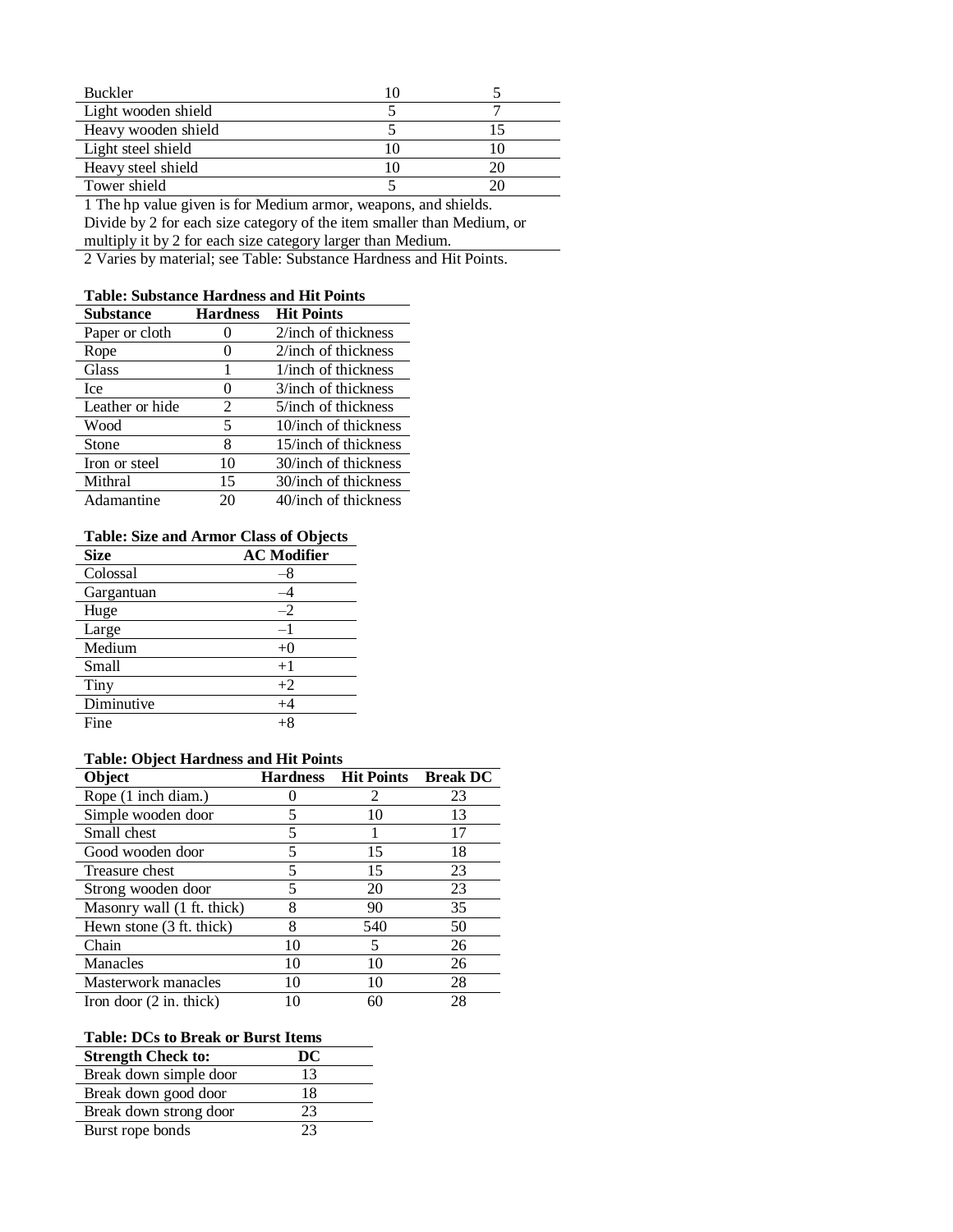| Buckler             | 10 |  |
|---------------------|----|--|
| Light wooden shield |    |  |
| Heavy wooden shield |    |  |
| Light steel shield  |    |  |
| Heavy steel shield  |    |  |
| Tower shield        |    |  |

1 The hp value given is for Medium armor, weapons, and shields.

Divide by 2 for each size category of the item smaller than Medium, or multiply it by 2 for each size category larger than Medium.

2 Varies by material; see Table: Substance Hardness and Hit Points.

#### **Table: Substance Hardness and Hit Points**

| <b>Substance</b> | <b>Hardness</b> | <b>Hit Points</b>    |
|------------------|-----------------|----------------------|
| Paper or cloth   |                 | 2/inch of thickness  |
| Rope             |                 | 2/inch of thickness  |
| Glass            |                 | 1/inch of thickness  |
| Ice              | 0               | 3/inch of thickness  |
| Leather or hide  | 2               | 5/inch of thickness  |
| Wood             | 5               | 10/inch of thickness |
| Stone            | 8               | 15/inch of thickness |
| Iron or steel    | 10              | 30/inch of thickness |
| Mithral          | 15              | 30/inch of thickness |
| Adamantine       | 20              | 40/inch of thickness |

|  |  |                                  | <b>Table: Size and Armor Class of Objects</b> |  |
|--|--|----------------------------------|-----------------------------------------------|--|
|  |  | $\sqrt{2}$ $\sqrt{2}$ $\sqrt{2}$ |                                               |  |

| <b>Size</b> | <b>AC Modifier</b> |
|-------------|--------------------|
| Colossal    |                    |
| Gargantuan  |                    |
| Huge        | $-2$               |
| Large       |                    |
| Medium      | $+0$               |
| Small       | $+1$               |
| Tiny        | $+2$               |
| Diminutive  | $^{+4}$            |
| Fine        | +8                 |
|             |                    |

#### **Table: Object Hardness and Hit Points**

| Object                             |    | <b>Hardness</b> Hit Points  | <b>Break DC</b> |
|------------------------------------|----|-----------------------------|-----------------|
| Rope (1 inch diam.)                |    | $\mathcal{D}_{\mathcal{L}}$ | 23              |
| Simple wooden door                 | 5  | 10                          | 13              |
| Small chest                        | 5  |                             | 17              |
| Good wooden door                   | 5  | 15                          | 18              |
| Treasure chest                     | 5  | 15                          | 23              |
| Strong wooden door                 | 5  | 20                          | 23              |
| Masonry wall (1 ft. thick)         | 8  | 90                          | 35              |
| Hewn stone $(3 \text{ ft. thick})$ | 8  | 540                         | 50              |
| Chain                              | 10 | 5                           | 26              |
| Manacles                           | 10 | 10                          | 26              |
| Masterwork manacles                | 10 | 10                          | 28              |
| Iron door $(2 \text{ in. thick})$  | 10 | 60                          | 28              |

| <b>Table: DCs to Break or Burst Items</b> |    |
|-------------------------------------------|----|
| <b>Strength Check to:</b>                 | DC |
| Break down simple door                    | 13 |
| Break down good door                      | 18 |
| Break down strong door                    | 23 |
| Burst rope bonds                          | 23 |